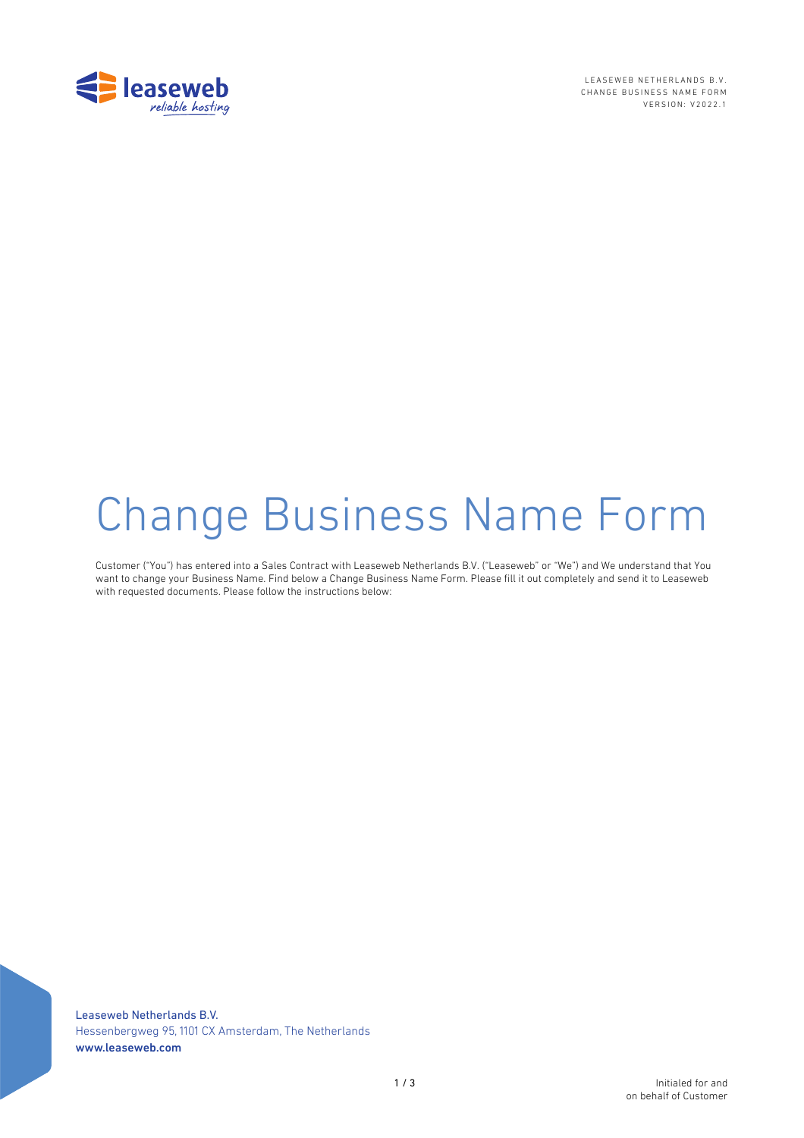

LEASEWEB NETHERLANDS B.V. CHANGE BUSINESS NAME FORM VERSION: V2022.1

# Change Business Name Form

Customer ("You") has entered into a Sales Contract with Leaseweb Netherlands B.V. ("Leaseweb" or "We") and We understand that You want to change your Business Name. Find below a Change Business Name Form. Please fill it out completely and send it to Leaseweb with requested documents. Please follow the instructions below:

Leaseweb Netherlands B.V. Hessenbergweg 95, 1101 CX Amsterdam, The Netherlands www.leaseweb.com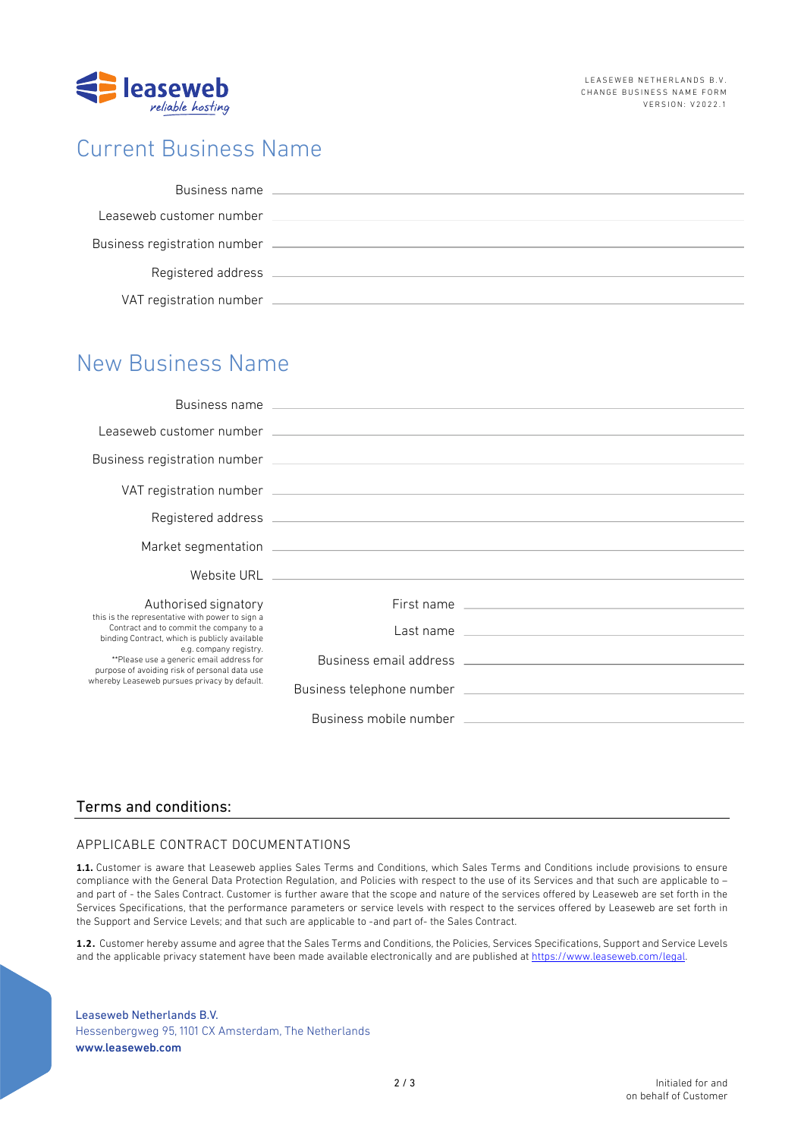

## Current Business Name

| Business name                |  |
|------------------------------|--|
| Leaseweb customer number     |  |
| Business registration number |  |
| Registered address           |  |
| VAT registration number      |  |

### New Business Name

| Authorised signatory                                                                                                                                                                                                                                                                                               |                                                                                                                                                                                                                                |
|--------------------------------------------------------------------------------------------------------------------------------------------------------------------------------------------------------------------------------------------------------------------------------------------------------------------|--------------------------------------------------------------------------------------------------------------------------------------------------------------------------------------------------------------------------------|
| this is the representative with power to sign a<br>Contract and to commit the company to a<br>binding Contract, which is publicly available<br>e.g. company registry.<br>**Please use a generic email address for<br>purpose of avoiding risk of personal data use<br>whereby Leaseweb pursues privacy by default. |                                                                                                                                                                                                                                |
|                                                                                                                                                                                                                                                                                                                    |                                                                                                                                                                                                                                |
|                                                                                                                                                                                                                                                                                                                    |                                                                                                                                                                                                                                |
|                                                                                                                                                                                                                                                                                                                    | Business mobile number that the control of the control of the control of the control of the control of the control of the control of the control of the control of the control of the control of the control of the control of |

#### Terms and conditions:

#### APPLICABLE CONTRACT DOCUMENTATIONS

**1.1.** Customer is aware that Leaseweb applies Sales Terms and Conditions, which Sales Terms and Conditions include provisions to ensure compliance with the General Data Protection Regulation, and Policies with respect to the use of its Services and that such are applicable to – and part of - the Sales Contract. Customer is further aware that the scope and nature of the services offered by Leaseweb are set forth in the Services Specifications, that the performance parameters or service levels with respect to the services offered by Leaseweb are set forth in the Support and Service Levels; and that such are applicable to -and part of- the Sales Contract.

**1.2.** Customer hereby assume and agree that the Sales Terms and Conditions, the Policies, Services Specifications, Support and Service Levels and the applicable privacy statement have been made available electronically and are published at https://www.leaseweb.com/legal.

Leaseweb Netherlands B.V. Hessenbergweg 95, 1101 CX Amsterdam, The Netherlands www.leaseweb.com